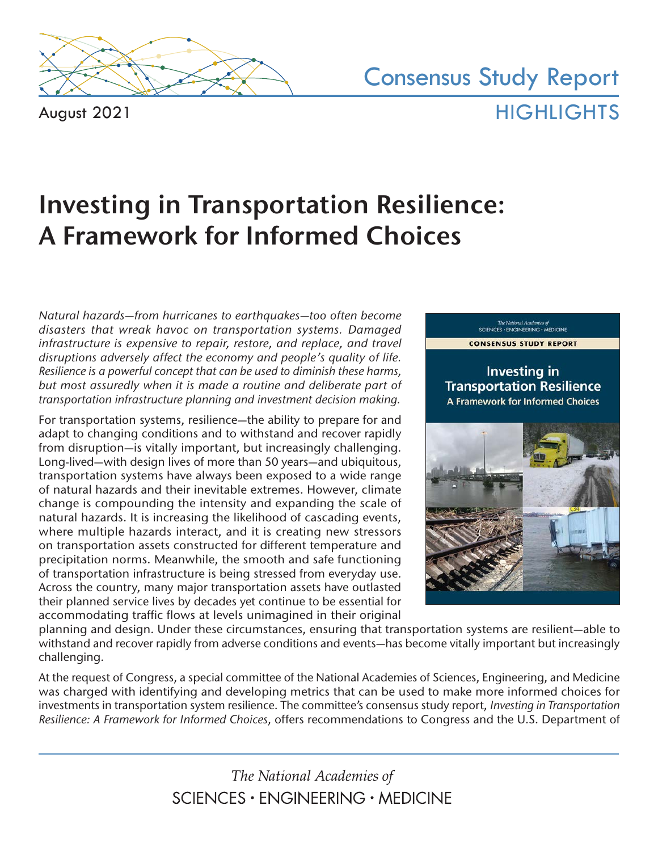

August 2021

Consensus Study Report **HIGHLIGHTS** 

# **Investing in Transportation Resilience: A Framework for Informed Choices**

*Natural hazards—from hurricanes to earthquakes—too often become disasters that wreak havoc on transportation systems. Damaged infrastructure is expensive to repair, restore, and replace, and travel disruptions adversely affect the economy and people's quality of life. Resilience is a powerful concept that can be used to diminish these harms,*  but most assuredly when it is made a routine and deliberate part of *transportation infrastructure planning and investment decision making.*

For transportation systems, resilience—the ability to prepare for and adapt to changing conditions and to withstand and recover rapidly from disruption—is vitally important, but increasingly challenging. Long-lived—with design lives of more than 50 years—and ubiquitous, transportation systems have always been exposed to a wide range of natural hazards and their inevitable extremes. However, climate change is compounding the intensity and expanding the scale of natural hazards. It is increasing the likelihood of cascading events, where multiple hazards interact, and it is creating new stressors on transportation assets constructed for different temperature and precipitation norms. Meanwhile, the smooth and safe functioning of transportation infrastructure is being stressed from everyday use. Across the country, many major transportation assets have outlasted their planned service lives by decades yet continue to be essential for accommodating traffic flows at levels unimagined in their original



The National Academies of<br>SCIENCES + ENGINEERING + MEDICINE

planning and design. Under these circumstances, ensuring that transportation systems are resilient—able to withstand and recover rapidly from adverse conditions and events—has become vitally important but increasingly challenging.

At the request of Congress, a special committee of the National Academies of Sciences, Engineering, and Medicine was charged with identifying and developing metrics that can be used to make more informed choices for investments in transportation system resilience. The committee's consensus study report, *Investing in Transportation Resilience: A Framework for Informed Choices*, offers recommendations to Congress and the U.S. Department of

> The National Academies of SCIENCES · ENGINEERING · MEDICINE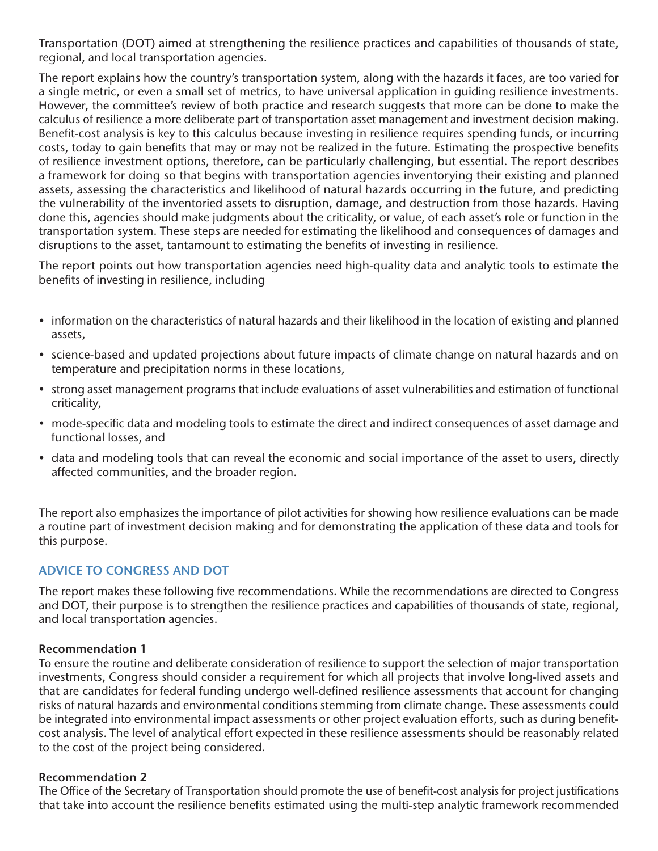Transportation (DOT) aimed at strengthening the resilience practices and capabilities of thousands of state, regional, and local transportation agencies.

The report explains how the country's transportation system, along with the hazards it faces, are too varied for a single metric, or even a small set of metrics, to have universal application in guiding resilience investments. However, the committee's review of both practice and research suggests that more can be done to make the calculus of resilience a more deliberate part of transportation asset management and investment decision making. Benefit-cost analysis is key to this calculus because investing in resilience requires spending funds, or incurring costs, today to gain benefits that may or may not be realized in the future. Estimating the prospective benefits of resilience investment options, therefore, can be particularly challenging, but essential. The report describes a framework for doing so that begins with transportation agencies inventorying their existing and planned assets, assessing the characteristics and likelihood of natural hazards occurring in the future, and predicting the vulnerability of the inventoried assets to disruption, damage, and destruction from those hazards. Having done this, agencies should make judgments about the criticality, or value, of each asset's role or function in the transportation system. These steps are needed for estimating the likelihood and consequences of damages and disruptions to the asset, tantamount to estimating the benefits of investing in resilience.

The report points out how transportation agencies need high-quality data and analytic tools to estimate the benefits of investing in resilience, including

- information on the characteristics of natural hazards and their likelihood in the location of existing and planned assets,
- science-based and updated projections about future impacts of climate change on natural hazards and on temperature and precipitation norms in these locations,
- strong asset management programs that include evaluations of asset vulnerabilities and estimation of functional criticality,
- mode-specific data and modeling tools to estimate the direct and indirect consequences of asset damage and functional losses, and
- data and modeling tools that can reveal the economic and social importance of the asset to users, directly affected communities, and the broader region.

The report also emphasizes the importance of pilot activities for showing how resilience evaluations can be made a routine part of investment decision making and for demonstrating the application of these data and tools for this purpose.

# **ADVICE TO CONGRESS AND DOT**

The report makes these following five recommendations. While the recommendations are directed to Congress and DOT, their purpose is to strengthen the resilience practices and capabilities of thousands of state, regional, and local transportation agencies.

## **Recommendation 1**

To ensure the routine and deliberate consideration of resilience to support the selection of major transportation investments, Congress should consider a requirement for which all projects that involve long-lived assets and that are candidates for federal funding undergo well-defined resilience assessments that account for changing risks of natural hazards and environmental conditions stemming from climate change. These assessments could be integrated into environmental impact assessments or other project evaluation efforts, such as during benefitcost analysis. The level of analytical effort expected in these resilience assessments should be reasonably related to the cost of the project being considered.

#### **Recommendation 2**

The Office of the Secretary of Transportation should promote the use of benefit-cost analysis for project justifications that take into account the resilience benefits estimated using the multi-step analytic framework recommended